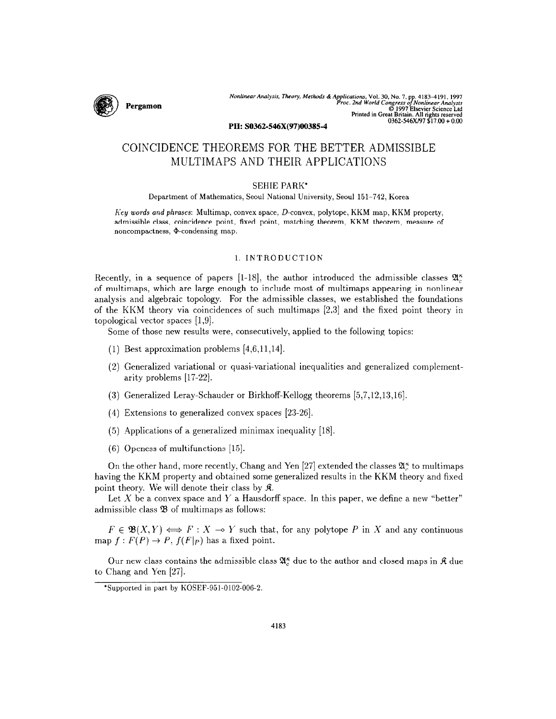

Nonlinear Analysis, Theory, Methods & Applications, Vol. 30, No. 7, pp. 4183–4191, 199<br>Proc. 2nd World Congress of Nonlinear Analyst<br>© 1997 Elsevier Science Lu<br>Printed in Great Britain. All rights reserve<br>0362-546X/97 \$17.

PII: SO362-546X(97)00385-4

# COINCIDENCE THEOREMS FOR THE BETTER ADMISSIBLE MULTIMAPS AND THEIR APPLICATIONS

## SEHIE PARK\*

Department of Mathematics, Seoul National University, Seoul 151-742, Korea

Key words and phrases: Multimap, convex space, D-convex, polytope, KKM map, KKM property, admissible class, coincidence point, fixed point, matching theorem, KKM theorem, measure of noncompactness, @-condensing map.

# 1. INTRODUCTION

Recently, in a sequence of papers [1-18], the author introduced the admissible classes  $\mathfrak{A}_{\alpha}^{\kappa}$ of multimaps, which are large enough to include most of multimaps appearing in nonlinear analysis and algebraic topology. For the admissible classes, we established the foundations of the KKM theory via coincidences of such multimaps [2,3] and the fixed point theory in topological vector spaces  $[1,9]$ .

Some of those new results were, consecutively, applied to the following topics:

- (1) Best approximation problems [4,6,11,14].
- (2) Generalized variational or quasi-variational inequalities and generalized complementarity problems [17-22].
- (3) Generalized Leray-Schauder or Birkhoff-Kellogg theorems [5,7,12,13,16].
- (4) Extensions to generalized convex spaces [23-261.
- $(5)$  Applications of a generalized minimax inequality [18].
- (6) Openess of multifunctions [15].

On the other hand, more recently, Chang and Yen [27] extended the classes  $\mathfrak{A}_{\lambda}^{\kappa}$  to multimaps having the KKM property and obtained some generalized results in the KKM theory and fixed point theory. We will denote their class by  $\mathfrak{K}$ .

Let  $X$  be a convex space and  $Y$  a Hausdorff space. In this paper, we define a new "better" admissible class  $\mathfrak B$  of multimaps as follows:

 $F \in \mathfrak{B}(X, Y) \Longleftrightarrow F : X \multimap Y$  such that, for any polytope P in X and any continuous map  $f: F(P) \to P$ ,  $f(F|_P)$  has a fixed point.

Our new class contains the admissible class  $\mathfrak{A}_{\alpha}^{\kappa}$  due to the author and closed maps in  $\mathfrak{K}$  due to Chang and Yen [27].

<sup>\*</sup>Supported in part by KOSEF-951-0102-006-2.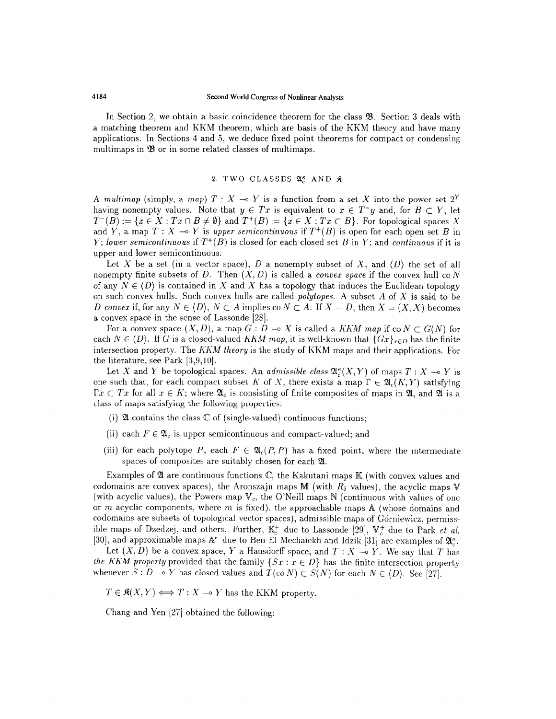In Section 2, we obtain a basic coincidence theorem for the class  $\mathfrak{B}$ . Section 3 deals with a matching theorem and KKM theorem, which are basis of the KKM theory and have many applications. In Sections 4 and 5, we deduce fixed point theorems for compact or condensing multimaps in  $\mathfrak{B}$  or in some related classes of multimaps.

# 2. TWO CLASSES 21% AND &

A multimap (simply, a map)  $T : X \rightarrow Y$  is a function from a set X into the power set  $2^Y$ having nonempty values. Note that  $y \in Tx$  is equivalent to  $x \in T^{\perp}y$  and, for  $B \subset Y$ , let  $T^{-}(B) := \{x \in X : Tx \cap B \neq \emptyset\}$  and  $T^{+}(B) := \{x \in X : Tx \subset B\}$ . For topological spaces X and Y, a map  $T : X \to Y$  is upper semicontinuous if  $T^+(B)$  is open for each open set B in Y; lower semicontinuous if  $T^+(B)$  is closed for each closed set B in Y; and continuous if it is upper and lower semicontinuous.

Let X be a set (in a vector space), D a nonempty subset of X, and  $\langle D \rangle$  the set of all nonempty finite subsets of D. Then  $(X, D)$  is called a *convex space* if the convex hull co N of any  $N \in \langle D \rangle$  is contained in X and X has a topology that induces the Euclidean topology on such convex hulls. Such convex hulls are called *polytopes*. A subset  $A$  of  $X$  is said to be D-convex if, for any  $N \in \{D\}$ ,  $N \subset A$  implies co  $N \subset A$ . If  $X = D$ , then  $X = (X, X)$  becomes a convex space in the sense of Lassonde [28].

For a convex space  $(X, D)$ , a map  $G: D \to X$  is called a KKM map if co  $N \subset G(N)$  for each  $N \in (D)$ . If G is a closed-valued KKM map, it is well-known that  $\{Gx\}_{x \in D}$  has the finite intersection property. The  $K\bar{K}M$  theory is the study of KKM maps and their applications. For the literature, see Park [3,9,10].

Let X and Y be topological spaces. An *admissible class*  $\mathfrak{A}_{\alpha}^{\kappa}(X, Y)$  of maps  $T : X \rightarrow Y$  is one such that, for each compact subset K of X, there exists a map  $\Gamma \in \mathfrak{A}_{c}(K,Y)$  satisfying  $\Gamma x \subset Tx$  for all  $x \in K$ ; where  $\mathfrak{A}_c$  is consisting of finite composites of maps in  $\mathfrak{A}$ , and  $\mathfrak{A}$  is a class of maps satisfying the following properties:

- (i)  $\mathfrak A$  contains the class  $\mathbb C$  of (single-valued) continuous functions;
- (ii) each  $F \in \mathfrak{A}_c$  is upper semicontinuous and compact-valued; and
- (iii) for each polytope P, each  $F \in \mathfrak{A}_{c}(P, P)$  has a fixed point, where the intermediate spaces of composites are suitably chosen for each  $\mathfrak{A}$ .

Examples of  $\mathfrak A$  are continuous functions  $\mathbb C$ , the Kakutani maps  $\mathbb K$  (with convex values and codomains are convex spaces), the Aronszajn maps M (with  $R<sub>\delta</sub>$  values), the acyclic maps V (with acyclic values), the Powers map  $V_c$ , the O'Neill maps N (continuous with values of one or m acyclic components, where m is fixed), the approachable maps  $A$  (whose domains and codomains are subsets of topological vector spaces), admissible maps of Górniewicz, permissible maps of Dzedzej, and others. Further,  $\mathbb{R}^+$ , due to Lassonde [29],  $\mathbb{R}^+$ ,  $\mathbb{R}^+$ ,  $\mathbb{R}^+$  $[30]$ , and approximable maps  $\mathbb{A}^{\kappa}$  due to Ben-El-Mechaiekh and Idzik  $[31]$  are examples of  $\mathbb{A}^{\kappa}$ .

Let  $(X, D)$  be a convex space, Y a Hausdorff space, and  $T : X \multimap Y$ . We say that T has the KKM property provided that the family  $\{S_x : x \in D\}$  has the finite intersection property whenever  $S: D \multimap Y$  has closed values and  $T(\text{co } N) \subset S(N)$  for each  $N \in \{D\}$ . See [27].

 $T \in \mathfrak{K}(X, Y) \Longleftrightarrow T : X \multimap Y$  has the KKM property.

Chang and Yen [27] obtained the following: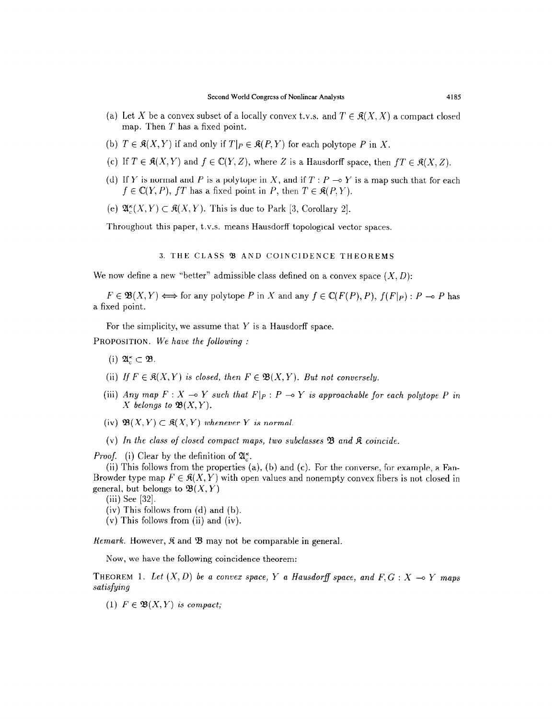- (a) Let X be a convex subset of a locally convex t.v.s. and  $T \in \mathfrak{K}(X, X)$  a compact closed map. Then  $T$  has a fixed point.
- (b)  $T \in \mathfrak{K}(X, Y)$  if and only if  $T|_P \in \mathfrak{K}(P, Y)$  for each polytope P in X.
- (c) If  $T \in \mathfrak{K}(X, Y)$  and  $f \in \mathbb{C}(Y, Z)$ , where Z is a Hausdorff space, then  $fT \in \mathfrak{K}(X, Z)$ .
- (d) If Y is normal and P is a polytope in X, and if  $T : P \rightarrow Y$  is a map such that for each  $f \in \mathbb{C}(Y, P)$ , fT has a fixed point in P, then  $T \in \mathfrak{K}(P, Y)$ .
- (e)  $\mathfrak{A}_{\varepsilon}^{\kappa}(X, Y) \subset \mathfrak{K}(X, Y)$ . This is due to Park [3, Corollary 2].

Throughout this paper, t.v.s. means Hausdorff topological vector spaces

## 3. THE CLASS 93 AND COINCIDENCE THEOREMS

We now define a new "better" admissible class defined on a convex space  $(X, D)$ :

 $F \in \mathfrak{B}(X,Y) \Longleftrightarrow$  for any polytope P in X and any  $f \in \mathbb{C}(F(P), P)$ ,  $f(F|_{P}) : P \multimap P$  has a fixed point.

For the simplicity, we assume that  $Y$  is a Hausdorff space.

PROPOSITION. We have the following :

- (i)  $\mathfrak{A}_{c}^{\kappa} \subset \mathfrak{B}$ .
- (ii) If  $F \in \mathfrak{K}(X, Y)$  is closed, then  $F \in \mathfrak{B}(X, Y)$ . But not conversely.
- (iii) Any map  $F : X \to Y$  such that  $F|_P : P \to Y$  is approachable for each polytope P in X belongs to  $\mathfrak{B}(X, Y)$ .
- (iv)  $\mathfrak{B}(X,Y) \subset \mathfrak{K}(X,Y)$  whenever Y is normal.
- (v) In the class of closed compact maps, two subclasses  $\mathfrak{B}$  and  $\mathfrak{K}$  coincide.

*Proof.* (i) Clear by the definition of  $\mathfrak{A}_{c}^{\kappa}$ .

(ii) This follows from the properties (a), (b) and (c). For the converse, for example, a Fan-Browder type map  $F \in \mathcal{R}(X, Y)$  with open values and nonempty convex fibers is not closed in general, but belongs to  $\mathfrak{B}(X,Y)$ 

(iii) See [32].

- (iv) This follows from (d) and (b).
- (v) This follows from (ii) and (iv).

*Remark.* However,  $\hat{\mathbf{R}}$  and  $\hat{\mathbf{B}}$  may not be comparable in general.

Now, we have the following coincidence theorem:

THEOREM 1. Let  $(X, D)$  be a convex space, Y a Hausdorff space, and  $F, G: X \to Y$  maps satisfying

(1)  $F \in \mathfrak{B}(X, Y)$  is compact;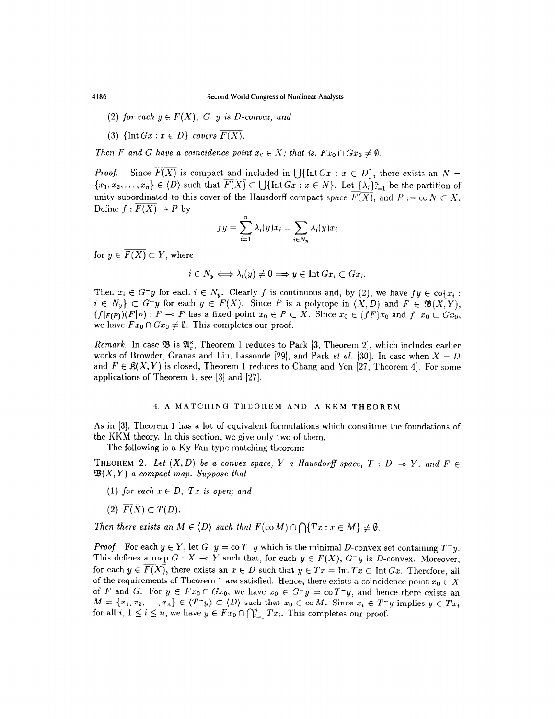- (2) for each  $y \in F(X)$ ,  $G^-y$  is D-convex; and
- (3)  $\{\text{Int }Gx : x \in D\}$  covers  $\overline{F(X)}$ .

Then F and G have a coincidence point  $x_0 \in X$ ; that is,  $Fx_0 \cap Gx_0 \neq \emptyset$ .

*Proof.* Since  $\overline{F(X)}$  is compact and included in  $\bigcup \{ \text{Int } Gx : x \in D \}$ , there exists an  $N =$  ${x_1, x_2,..., x_n} \in \langle D \rangle$  such that  $\overline{F(X)} \subset \bigcup \{ \text{Int } Gx : x \in N \}$ . Let  $\{\lambda_i\}_{i=1}^n$  be the partition of unity subordinated to this cover of the Hausdorff compact space  $\overline{F(X)}$ , and  $P := \text{co } N \subset X$ . Define  $f: \overline{F(X)} \to P$  by

$$
fy = \sum_{i=1}^{n} \lambda_i(y)x_i = \sum_{i \in N_y} \lambda_i(y)x_i
$$

for  $y \in \overline{F(X)} \subset Y$ , where

$$
i \in N_y \iff \lambda_i(y) \neq 0 \implies y \in \text{Int } G x_i \subset G x_i.
$$

Then  $x_i \in G^-y$  for each  $i \in N_y$ . Clearly f is continuous and, by (2), we have  $fy \in \text{co}\{x_i :$  $i \in N_y$   $\subset G^-y$  for each  $y \in F(X)$ . Since P is a polytope in  $(X, D)$  and  $F \in \mathfrak{B}(X, Y)$ ,  $(f|_{F(P)})(F|_{P}): P \multimap P$  has a fixed point  $x_0 \in P \subset X$ . Since  $x_0 \in (fF)x_0$  and  $f^{-}x_0 \subset Gx_0$ , we have  $Fx_0 \cap Gx_0 \neq \emptyset$ . This completes our proof.

Remark. In case  $\mathfrak{B}$  is  $\mathfrak{A}_{c}^{\kappa}$ , Theorem 1 reduces to Park [3, Theorem 2], which includes earlier works of Browder, Granas and Liu, Lassonde [29], and Park *et al.* [30]. In case when  $X = D$ and  $F \in \mathcal{R}(X, Y)$  is closed, Theorem 1 reduces to Chang and Yen [27, Theorem 4]. For some applications of Theorem 1, see [3] and [27].

#### 4. A MATCHING THEOREM AND A KKM THEOREM

As in [3], Theorem 1 has a lot of equivalent formulations which constitute the foundations of the KKM theory. In this section, we give only two of them.

The following is a Ky Fan type matching theorem:

THEOREM 2. Let  $(X, D)$  be a convex space, Y a Hausdorff space,  $T : D \multimap Y$ , and  $F \in$  $\mathfrak{B}(X,Y)$  a compact map. Suppose that

- (1) for each  $x \in D$ , Tx is open; and
- (2)  $\overline{F(X)} \subset T(D)$ .

Then there exists an  $M \in \langle D \rangle$  such that  $F(\text{co }M) \cap \bigcap \{Tx : x \in M\} \neq \emptyset$ .

*Proof.* For each  $y \in Y$ , let  $G^{-}y = \text{co } T^{-}y$  which is the minimal D-convex set containing  $T^{-}y$ . This defines a map  $G: X \to Y$  such that, for each  $y \in F(X)$ ,  $G^-y$  is D-convex. Moreover, for each  $y \in F(X)$ , there exists an  $x \in D$  such that  $y \in Tx = \text{Int } Tx \subset \text{Int } Gx$ . Therefore, all of the requirements of Theorem 1 are satisfied. Hence, there exists a coincidence point  $x_0 \in X$ of F and G. For  $y \in Fx_0 \cap Gx_0$ , we have  $x_0 \in G^-y = \text{co }T^-y$ , and hence there exists an  $M = \{x_1, x_2, \ldots, x_n\} \in \langle T^{\perp}y \rangle \subset \langle D \rangle$  such that  $x_0 \in \text{co } M$ . Since  $x_i \in T^{\perp}y$  implies  $y \in Tx_i$ for all  $i, 1 \leq i \leq n$ , we have  $y \in F_{x_0} \cap \bigcap_{i=1}^n Tx_i$ . This completes our proof.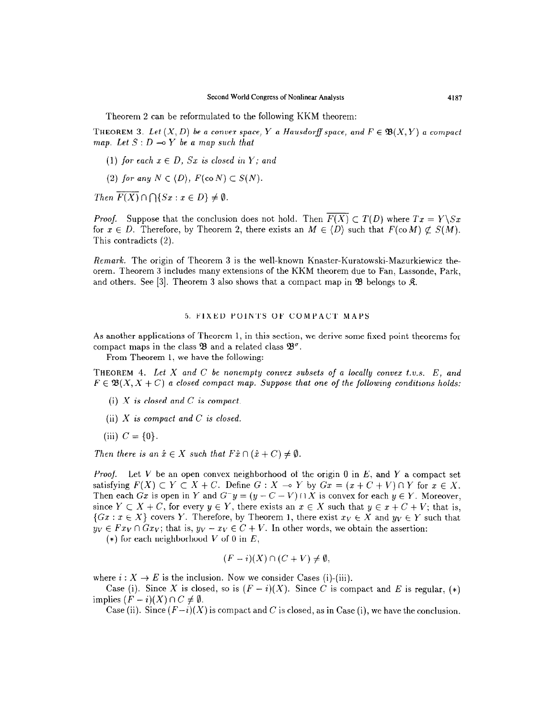Theorem 2 can be reformulated to the following KKM theorem:

THEOREM 3. Let  $(X, D)$  be a convex space, Y a Hausdorff space, and  $F \in \mathfrak{B}(X, Y)$  a compact map. Let  $S: D \rightarrow Y$  be a map such that

- (1) for each  $x \in D$ , Sx is closed in Y; and
- (2) for any  $N \in \langle D \rangle$ ,  $F(\text{co }N) \subset S(N)$ .

Then  $\overline{F(X)} \cap \bigcap \{Sx : x \in D\} \neq \emptyset$ .

*Proof.* Suppose that the conclusion does not hold. Then  $\overline{F(X)} \subset T(D)$  where  $Tx = Y\setminus Sx$ for  $x \in D$ . Therefore, by Theorem 2, there exists an  $M \in \langle D \rangle$  such that  $F(\text{co }M) \not\subset S(M)$ . This contradicts (2).

Remark. The origin of Theorem 3 is the well-known Knaster-Kuratowski-Mazurkiewicz theorem. Theorem 3 includes many extensions of the KKM theorem due to Fan, Lassonde, Park, and others. See [3]. Theorem 3 also shows that a compact map in  $\mathfrak{B}$  belongs to  $\mathfrak{K}$ .

## 5. FIXED POINTS OF COMPACT MAPS

As another applications of Theorem 1, in this section, we derive some fixed point theorems for compact maps in the class  $\mathfrak{B}$  and a related class  $\mathfrak{B}^{\sigma}$ .

From Theorem 1, we have the following:

THEOREM 4. Let X and C be nonempty convex subsets of a locally convex t.v.s.  $E$ , and  $F \in \mathfrak{B}(X, X + C)$  a closed compact map. Suppose that one of the following conditions holds:

- (i) X is closed and C is compact.
- (ii)  $X$  is compact and  $C$  is closed.
- (iii)  $C = \{0\}.$

Then there is an  $\hat{x} \in X$  such that  $F\hat{x} \cap (\hat{x} + C) \neq \emptyset$ .

*Proof.* Let V be an open convex neighborhood of the origin 0 in E, and Y a compact set satisfying  $F(X) \subset Y \subset X + C$ . Define  $G: X \to Y$  by  $Gx = (x + C + V) \cap Y$  for  $x \in X$ . Then each Gx is open in Y and  $G^-y = (y - C - V) \cap X$  is convex for each  $y \in Y$ . Moreover, since  $Y \subset X + C$ , for every  $y \in Y$ , there exists an  $x \in X$  such that  $y \in x + C + V$ ; that is,  $\{Gx : x \in X\}$  covers Y. Therefore, by Theorem 1, there exist  $x_V \in X$  and  $y_V \in Y$  such that  $y_V \in F x_V \cap G x_V$ ; that is,  $y_V - x_V \in C + V$ . In other words, we obtain the assertion:

(\*) for each neighborhood V of 0 in  $E$ ,

$$
(F - i)(X) \cap (C + V) \neq \emptyset,
$$

where  $i: X \to E$  is the inclusion. Now we consider Cases (i)-(iii).

Case (i). Since X is closed, so is  $(F - i)(X)$ . Since C is compact and E is regular, (\*) implies  $(F - i)(X) \cap C \neq \emptyset$ .

Case (ii). Since  $(F-i)(X)$  is compact and C is closed, as in Case (i), we have the conclusion.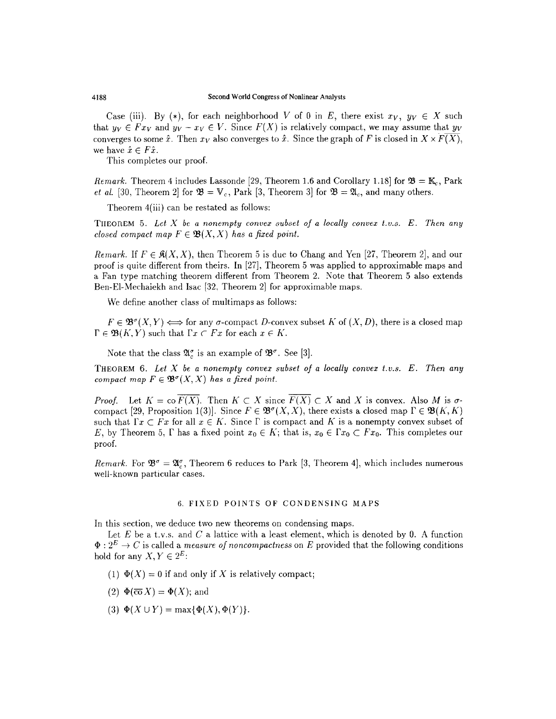Case (iii). By (\*), for each neighborhood V of 0 in E, there exist  $x_V$ ,  $y_V \in X$  such that  $y_V \in F_{xy}$  and  $y_V - x_V \in V$ . Since  $F(X)$  is relatively compact, we may assume that  $y_V$ converges to some  $\hat{x}$ . Then  $x_V$  also converges to  $\hat{x}$ . Since the graph of F is closed in  $X \times \overline{F(X)}$ , we have  $\hat{x} \in F\hat{x}$ .

This completes our proof.

Remark. Theorem 4 includes Lassonde [29, Theorem 1.6 and Corollary 1.18] for  $\mathfrak{B} = \mathbb{K}_{\alpha}$ , Park *et al.* [30, Theorem 2] for  $\mathfrak{B} = V_c$ , Park [3, Theorem 3] for  $\mathfrak{B} = \mathfrak{A}_c$ , and many others.

Theorem 4(iii) can be restated as follows:

THEOREM 5. Let X be a nonempty convex subset of a locally convex t.v.s.  $E$ . Then any closed compact map  $F \in \mathfrak{B}(X,X)$  has a fixed point.

Remark. If  $F \in \mathcal{R}(X,X)$ , then Theorem 5 is due to Chang and Yen [27, Theorem 2], and our proof is quite different from theirs. In [27], Theorem 5 was applied to approximable maps and a Fan type matching theorem different from Theorem 2. Note that Theorem 5 also extends Ben-El-Mechaiekh and Isac [32, Theorem 2] for approximable maps.

We define another class of multimaps as follows:

 $F \in \mathfrak{B}^{\sigma}(X,Y) \Longleftrightarrow$  for any  $\sigma$ -compact D-convex subset K of  $(X,D)$ , there is a closed map  $\Gamma \in \mathfrak{B}(K, Y)$  such that  $\Gamma x \subset Fx$  for each  $x \in K$ .

Note that the class  $\mathfrak{A}_{\alpha}^{\sigma}$  is an example of  $\mathfrak{B}^{\sigma}$ . See [3].

THEOREM 6. Let  $X$  be a nonempty convex subset of a locally convex t.v.s.  $E$ . Then any compact map  $F \in \mathfrak{B}^{\sigma}(X,X)$  has a fixed point.

*Proof.* Let  $K = \text{co }\overline{F(X)}$ . Then  $K \subset X$  since  $\overline{F(X)} \subset X$  and X is convex. Also M is  $\sigma$ compact [29, Proposition 1(3)]. Since  $F \in \mathfrak{B}^{\sigma}(X,X)$ , there exists a closed map  $\Gamma \in \mathfrak{B}(K,K)$ such that  $\Gamma x \subset F x$  for all  $x \in K$ . Since  $\Gamma$  is compact and K is a nonempty convex subset of E, by Theorem 5,  $\Gamma$  has a fixed point  $x_0 \in K$ ; that is,  $x_0 \in \Gamma x_0 \subset F_x$ . This completes our proof.

Remark. For  $\mathfrak{B}^{\sigma} = \mathfrak{A}_{\epsilon}^{\sigma}$ , Theorem 6 reduces to Park [3, Theorem 4], which includes numerous well-known particular cases.

# 6. FIXED POINTS OF CONDENSING MAPS

In this section, we deduce two new theorems on condensing maps.

Let  $E$  be a t.v.s. and  $C$  a lattice with a least element, which is denoted by 0. A function  $\Phi : 2^E \to C$  is called a *measure of noncompactness* on E provided that the following conditions hold for any  $X, Y \in 2^E$ :

- (1)  $\Phi(X) = 0$  if and only if X is relatively compact;
- (2)  $\Phi(\overline{co} X) = \Phi(X)$ ; and
- (3)  $\Phi(X \cup Y) = \max{\Phi(X), \Phi(Y)}.$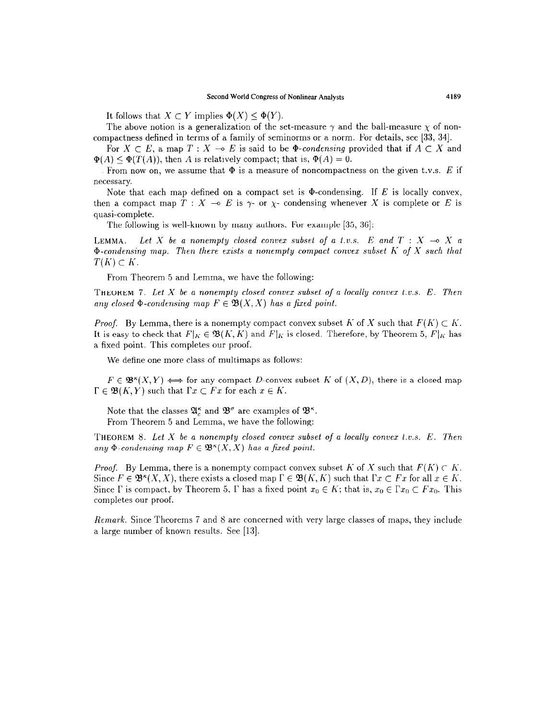It follows that  $X \subset Y$  implies  $\Phi(X) \leq \Phi(Y)$ .

The above notion is a generalization of the set-measure  $\gamma$  and the ball-measure  $\chi$  of noncompactness defined in terms of a family of seminorms or a norm. For details, see [33, 341.

For  $X \subset E$ , a map  $T : X \multimap E$  is said to be  $\Phi$ -condensing provided that if  $A \subset X$  and  $\Phi(A) \leq \Phi(T(A))$ , then A is relatively compact; that is,  $\Phi(A) = 0$ .

From now on, we assume that  $\Phi$  is a measure of noncompactness on the given t.v.s. E if necessary.

Note that each map defined on a compact set is  $\Phi$ -condensing. If E is locally convex, then a compact map  $T : X \multimap E$  is  $\gamma$ - or  $\chi$ - condensing whenever X is complete or E is quasi-complete.

The following is well-known by many authors. For example  $[35, 36]$ :

LEMMA. Let X be a nonempty closed convex subset of a t.v.s. E and  $T : X \multimap X$  a  $\Phi$ -condensing map. Then there exists a nonempty compact convex subset K of X such that  $T(K) \subset K$ .

From Theorem 5 and Lemma, we have the following:

THEOREM 7. Let X be a nonempty closed convex subset of a locally convex t.v.s.  $E$ . Then any closed  $\Phi$ -condensing map  $F \in \mathfrak{B}(X,X)$  has a fixed point.

*Proof.* By Lemma, there is a nonempty compact convex subset K of X such that  $F(K) \subset K$ . It is easy to check that  $F|_K \in \mathfrak{B}(K, K)$  and  $F|_K$  is closed. Therefore, by Theorem 5,  $F|_K$  has a fixed point. This completes our proof.

We define one more class of multimaps as follows:

 $F \in \mathfrak{B}^k(X,Y) \Longleftrightarrow$  for any compact D-convex subset K of  $(X,D)$ , there is a closed map  $\Gamma \in \mathfrak{B}(K, Y)$  such that  $\Gamma x \subset Fx$  for each  $x \in K$ .

Note that the classes  $\mathfrak{A}_{\alpha}^{\kappa}$  and  $\mathfrak{B}_{\alpha}^{\sigma}$  are examples of  $\mathfrak{B}_{\alpha}^{\kappa}$ . From Theorem 5 and Lemma, we have the following:

THEOREM 8. Let  $X$  be a nonempty closed convex subset of a locally convex t.v.s.  $E$ . Then any  $\Phi$ -condensing map  $F \in \mathfrak{B}^*(X,X)$  has a fixed point.

*Proof.* By Lemma, there is a nonempty compact convex subset K of X such that  $F(K) \subset K$ . Since  $F \in \mathfrak{B}^k(X, X)$ , there exists a closed map  $\Gamma \in \mathfrak{B}(K, K)$  such that  $\Gamma x \subset Fx$  for all  $x \in K$ . Since  $\Gamma$  is compact, by Theorem 5,  $\Gamma$  has a fixed point  $x_0 \in K$ ; that is,  $x_0 \in \Gamma x_0 \subset Fx_0$ . This completes our proof.

Remark. Since Theorems 7 and 8 are concerned with very large classes of maps, they include a large number of known results. See [13].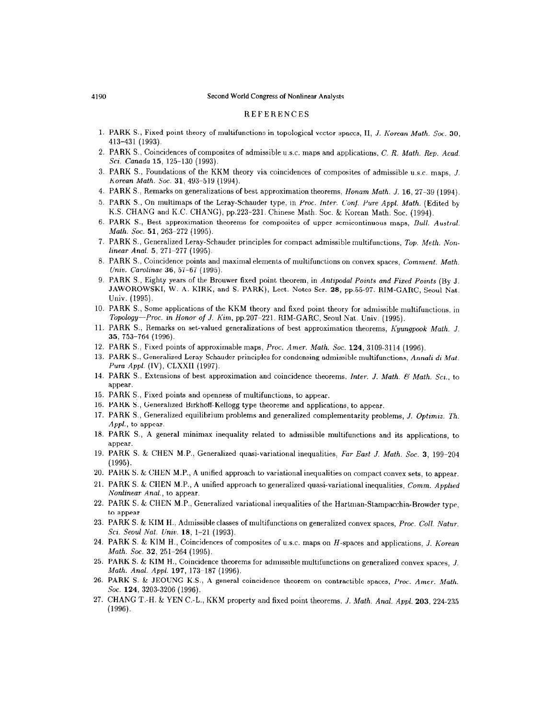#### 4190 Second World Congress of Nonlinear Analysts

## **REFERENCES**

- 1. PARK S., Fixed point theory of multifunctions in topological vector spaces, II, J. Korean Math. Soc. 30, 413-431 (1993).
- 2. PARK S., Coincidences of composites of admissible u.s.c. maps and applications, C. R. Math. Rep. Acad. Sci. Canada 15, 125-130 (1993).
- 3. PARK S., Foundations of the KKM theory via coincidences of composites of admissible U.S.C. maps, J. Korean Math. Soc. 31, 493-519 (1994).
- 4. PARK S., Remarks on generalizations of best approximation theorems, ffonam Math. J. 16, 27-39 (1994).
- 5. PARK S., On multimaps of the Leray-Schauder type, in Proc. Inter. Conf. Pure Appl. Math. (Edited by K.S. CHANG and K.C. CHANG), pp.223-231. Chinese Math. Soc. & Korean Math. Soc. (1994).
- 6. PARK S., Best approximation theorems for composites of upper semicontinuous maps, Bull. Austral. Math. Soc. 51, 263-272 (1995).
- 7. PARK S., Generalized Leray-Schauder principles for compact admissible multifunctions, Top. Meth. Non $linear Anal. 5, 271–277 (1995).$
- 8. PARK S., Coincidence points and maximal elements of multifunctions on convex spaces, Comment. Math. Univ. Carolinae 36, 57-67 (1995).
- 9. PARK S., Eighty years of the Brouwer fixed point theorem, in Antipodal Points and Fixed Points (By J. JAWOROWSKI, W. A. KIRK, and S. PARK), Lect. Notes Ser. 28, pp.55-97. RIM-GARC, Seoul Nat. Univ. (1995).
- 10. PARK S., Some applications of the KKM theory and fixed point theory for admissible multifunctions, in Topology-Proc. in Honor of J. Kim, pp.207-221. RIM-GARC, Seoul Nat. Univ. (1995).
- 11. PARK S., Remarks on set-valued generalizations of best approximation theorems, Kyungpook Math. J. 35, 753-764 (1996).
- 12. PARK S., Fixed points of approximable maps, Proc. Amer. Math. Soc. 124, 3109-3114 (1996).
- 13. PARK S., Generalized Leray-Schauder principles for condensing admissible multifunctions, Annali di Mat. Pum Appl. (IV), CLXXII (1997).
- 14. PARK S., Extensions of best approximation and coincidence theorems, Inter. J. Math. & Math. Sci., to appear.
- 15. PARK S., Fixed points and openness of multifunctions, to appear.
- 16. PARK S., Generalized Birkhoff-Kellogg type theorems and applications, to appear.
- 17. PARK S., Generalized equilibrium problems and generalized complementarity problems, J. Optimiz. Th. Appl., to appear.
- 18. PARK S., A general minimax inequality related to admissible multifunctions and its applications, to appear.
- 19. PARK S. & CHEN M.P., Generalized quasi-variational inequalities, Far East J. Math. Soc. 3, 199-204 (1995).
- 20. PARK S. & CHEN M.P., A unified approach to variational inequalities on compact convex sets, to appear.
- 21. PARK S. & CHEN M.P., A unified approach to generalized quasi-variational inequalities, Comm. Applied Nonlinear Anal., to appear.
- 22. PARK S. & CHEN M.P., Generalized variational inequalities of the Hartman-Stampacchia-Browder type, to appear.
- 23. PARK S. & KIM H., Admissible classes of multifunctions on generalized convex spaces, Proc. Coll. Natur. Sci. Seoul Nat. Univ. 18, 1-21 (1993).
- 24. PARK S. & KIM H., Coincidences of composites of u.s.c. maps on H-spaces and applications, J. Korean Math. Soc. 32, 251-264 (1995).
- 25. PARK S. & KIM H., Coincidence theorems for admissible multifunctions on generalized convex spaces, J. Moth. Anal. Appl. 197, 173~187 (1996).
- 26. PARK S. & JEOUNG K.S., A general coincidence theorem on contractible spaces, Proc. Amer. Math. Soc. **124**, 3203-3206 (1996).
- 27. CHANG T.-H. & YEN C.-L., KKM property and fixed point theorems, J. Math. Anal. Appl. 203, 224.235 (1996).